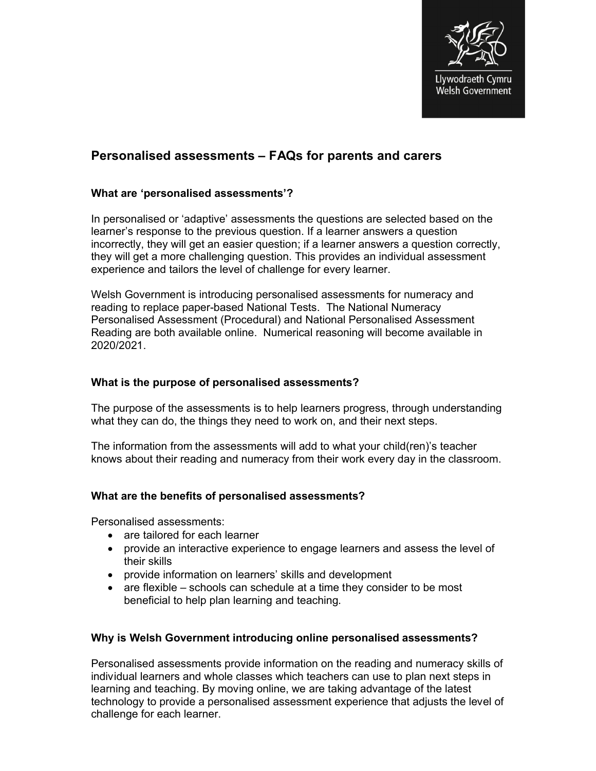

# **Personalised assessments – FAQs for parents and carers**

# **What are 'personalised assessments'?**

In personalised or 'adaptive' assessments the questions are selected based on the learner's response to the previous question. If a learner answers a question incorrectly, they will get an easier question; if a learner answers a question correctly, they will get a more challenging question. This provides an individual assessment experience and tailors the level of challenge for every learner.

Welsh Government is introducing personalised assessments for numeracy and reading to replace paper-based National Tests. The National Numeracy Personalised Assessment (Procedural) and National Personalised Assessment Reading are both available online. Numerical reasoning will become available in 2020/2021.

# **What is the purpose of personalised assessments?**

The purpose of the assessments is to help learners progress, through understanding what they can do, the things they need to work on, and their next steps.

The information from the assessments will add to what your child(ren)'s teacher knows about their reading and numeracy from their work every day in the classroom.

# **What are the benefits of personalised assessments?**

Personalised assessments:

- are tailored for each learner
- provide an interactive experience to engage learners and assess the level of their skills
- provide information on learners' skills and development
- $\bullet$  are flexible schools can schedule at a time they consider to be most beneficial to help plan learning and teaching.

# **Why is Welsh Government introducing online personalised assessments?**

Personalised assessments provide information on the reading and numeracy skills of individual learners and whole classes which teachers can use to plan next steps in learning and teaching. By moving online, we are taking advantage of the latest technology to provide a personalised assessment experience that adjusts the level of challenge for each learner.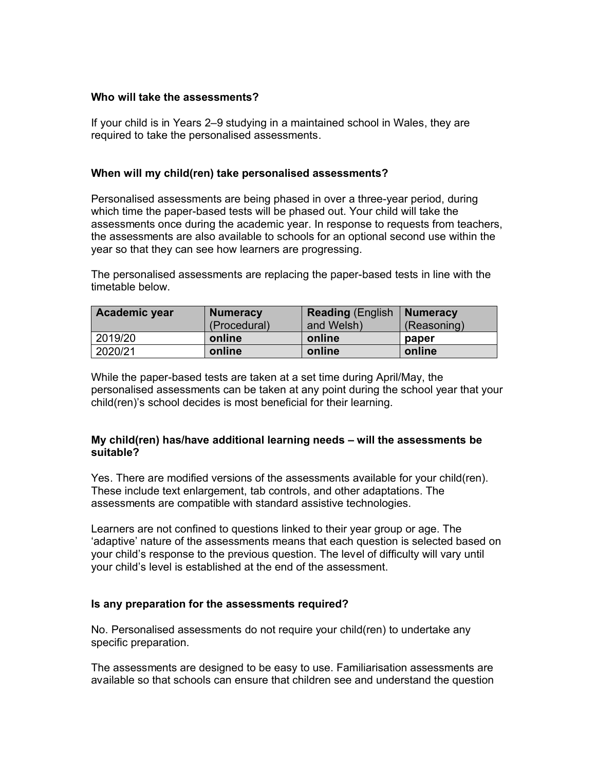## **Who will take the assessments?**

If your child is in Years 2–9 studying in a maintained school in Wales, they are required to take the personalised assessments.

### **When will my child(ren) take personalised assessments?**

Personalised assessments are being phased in over a three-year period, during which time the paper-based tests will be phased out. Your child will take the assessments once during the academic year. In response to requests from teachers, the assessments are also available to schools for an optional second use within the year so that they can see how learners are progressing.

The personalised assessments are replacing the paper-based tests in line with the timetable below.

| <b>Academic year</b> | <b>Numeracy</b> | <b>Reading (English   Numeracy</b> |             |
|----------------------|-----------------|------------------------------------|-------------|
|                      | (Procedural)    | and Welsh)                         | (Reasoning) |
| 2019/20              | online          | online                             | paper       |
| 2020/21              | online          | online                             | online      |

While the paper-based tests are taken at a set time during April/May, the personalised assessments can be taken at any point during the school year that your child(ren)'s school decides is most beneficial for their learning.

### **My child(ren) has/have additional learning needs – will the assessments be suitable?**

Yes. There are modified versions of the assessments available for your child(ren). These include text enlargement, tab controls, and other adaptations. The assessments are compatible with standard assistive technologies.

Learners are not confined to questions linked to their year group or age. The 'adaptive' nature of the assessments means that each question is selected based on your child's response to the previous question. The level of difficulty will vary until your child's level is established at the end of the assessment.

#### **Is any preparation for the assessments required?**

No. Personalised assessments do not require your child(ren) to undertake any specific preparation.

The assessments are designed to be easy to use. Familiarisation assessments are available so that schools can ensure that children see and understand the question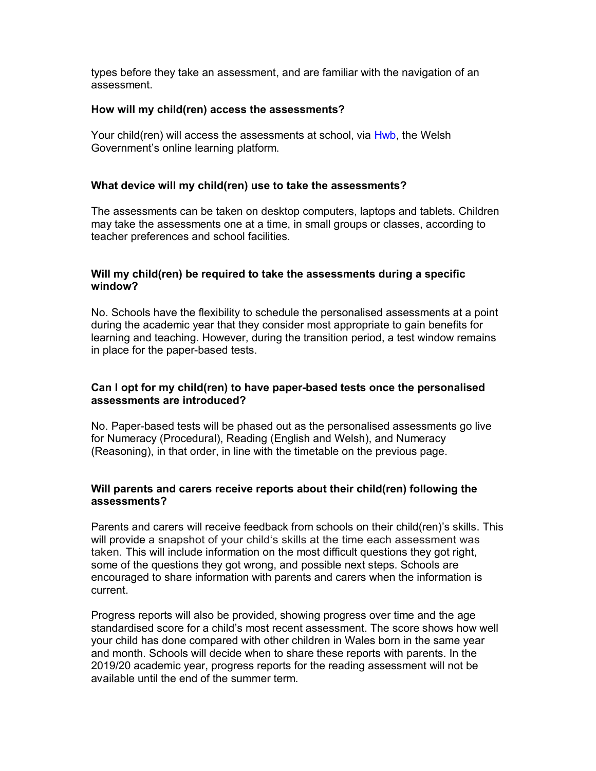types before they take an assessment, and are familiar with the navigation of an assessment.

# **How will my child(ren) access the assessments?**

Your child(ren) will access the assessments at school, via Hwb, the Welsh Government's online learning platform.

# **What device will my child(ren) use to take the assessments?**

The assessments can be taken on desktop computers, laptops and tablets. Children may take the assessments one at a time, in small groups or classes, according to teacher preferences and school facilities.

# **Will my child(ren) be required to take the assessments during a specific window?**

No. Schools have the flexibility to schedule the personalised assessments at a point during the academic year that they consider most appropriate to gain benefits for learning and teaching. However, during the transition period, a test window remains in place for the paper-based tests.

# **Can I opt for my child(ren) to have paper-based tests once the personalised assessments are introduced?**

No. Paper-based tests will be phased out as the personalised assessments go live for Numeracy (Procedural), Reading (English and Welsh), and Numeracy (Reasoning), in that order, in line with the timetable on the previous page.

### **Will parents and carers receive reports about their child(ren) following the assessments?**

Parents and carers will receive feedback from schools on their child(ren)'s skills. This will provide a snapshot of your child's skills at the time each assessment was taken. This will include information on the most difficult questions they got right, some of the questions they got wrong, and possible next steps. Schools are encouraged to share information with parents and carers when the information is current.

Progress reports will also be provided, showing progress over time and the age standardised score for a child's most recent assessment. The score shows how well your child has done compared with other children in Wales born in the same year and month. Schools will decide when to share these reports with parents. In the 2019/20 academic year, progress reports for the reading assessment will not be available until the end of the summer term.